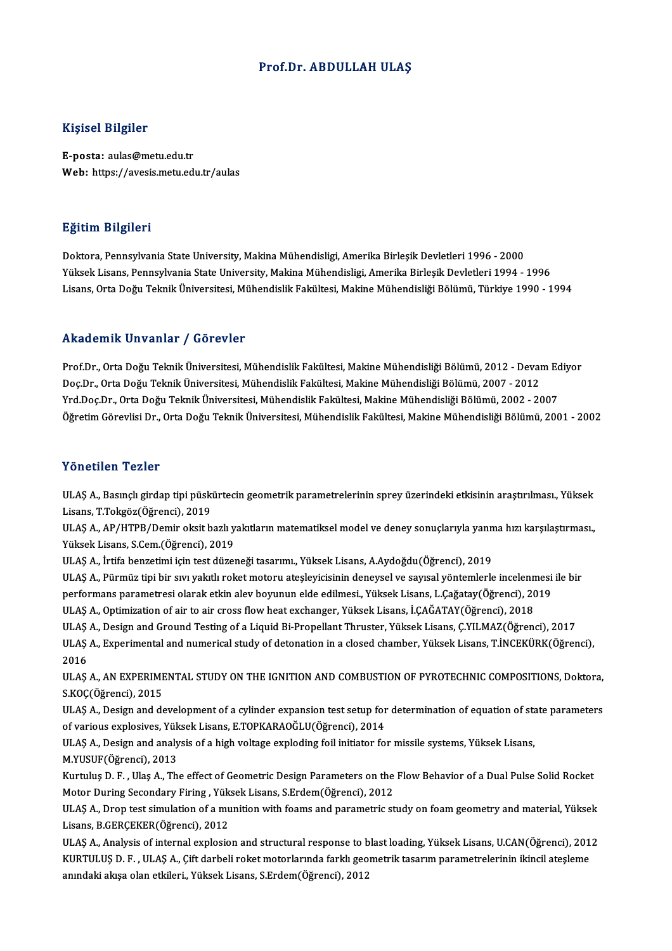## Prof.Dr. ABDULLAH ULAŞ

### Kişisel Bilgiler

E-posta: aulas@metu.edu.tr Web: https://avesis.metu.edu.tr/aulas

### Eğitim Bilgileri

Doktora, Pennsylvania State University, Makina Mühendisligi, Amerika Birleşik Devletleri 1996 - 2000 Yüksek Lisans, Pennsylvania State University, Makina Mühendisligi, Amerika Birleşik Devletleri 1994 - 1996 Lisans, Orta Doğu Teknik Üniversitesi, Mühendislik Fakültesi, Makine Mühendisliği Bölümü, Türkiye 1990 - 1994

## Akademik Unvanlar / Görevler

Prof.Dr., Orta Doğu Teknik Üniversitesi, Mühendislik Fakültesi, Makine Mühendisliği Bölümü, 2012 - Devam Ediyor Doç.Dr., Orta Doğu Teknik Üniversitesi, Mühendislik Fakültesi, Makine Mühendisliği Bölümü, 2007 - 2012 Yrd.Doç.Dr.,OrtaDoğuTeknikÜniversitesi,MühendislikFakültesi,MakineMühendisliğiBölümü,2002 -2007 ÖğretimGörevlisiDr.,OrtaDoğuTeknikÜniversitesi,MühendislikFakültesi,MakineMühendisliğiBölümü,2001 -2002

#### Yönetilen Tezler

ULAŞ A., Basınçlı girdap tipi püskürtecin geometrik parametrelerinin sprey üzerindeki etkisinin araştırılması., Yüksek Lisans,T.Tokgöz(Öğrenci),2019

ULAŞ A., AP/HTPB/Demir oksit bazlı yakıtların matematiksel model ve deney sonuçlarıyla yanma hızı karşılaştırması., Yüksek Lisans, S.Cem. (Öğrenci), 2019

ULAŞA., İrtifa benzetimi içintestdüzeneği tasarımı.,YüksekLisans,A.Aydoğdu(Öğrenci),2019

Yüksek Lisans, S.Cem.(Öğrenci), 2019<br>ULAŞ A., İrtifa benzetimi için test düzeneği tasarımı., Yüksek Lisans, A.Aydoğdu(Öğrenci), 2019<br>ULAŞ A., Pürmüz tipi bir sıvı yakıtlı roket motoru ateşleyicisinin deneysel ve sayısal yö ULAŞ A., İrtifa benzetimi için test düzeneği tasarımı., Yüksek Lisans, A.Aydoğdu(Öğrenci), 2019<br>ULAŞ A., Pürmüz tipi bir sıvı yakıtlı roket motoru ateşleyicisinin deneysel ve sayısal yöntemlerle incelenmesi<br>performans para ULAŞ A., Pürmüz tipi bir sıvı yakıtlı roket motoru ateşleyicisinin deneysel ve sayısal yöntemlerle incelenn<br>performans parametresi olarak etkin alev boyunun elde edilmesi., Yüksek Lisans, L.Çağatay(Öğrenci), 20<br>ULAŞ A., Op performans parametresi olarak etkin alev boyunun elde edilmesi., Yüksek Lisans, L.Çağatay(Öğrenci), 2019<br>ULAŞ A., Optimization of air to air cross flow heat exchanger, Yüksek Lisans, İ.ÇAĞATAY(Öğrenci), 2018<br>ULAŞ A., Desig

ULAŞ A., Optimization of air to air cross flow heat exchanger, Yüksek Lisans, İ.ÇAĞATAY(Öğrenci), 2018<br>ULAŞ A., Design and Ground Testing of a Liquid Bi-Propellant Thruster, Yüksek Lisans, Ç.YILMAZ(Öğrenci), 2017<br>ULAŞ A., ULAȘ<br>ULAȘ<br>2016<br>III AS ULAŞ A., Experimental and numerical study of detonation in a closed chamber, Yüksek Lisans, T.İNCEKÜRK(Öğrenci),<br>2016<br>ULAŞ A., AN EXPERIMENTAL STUDY ON THE IGNITION AND COMBUSTION OF PYROTECHNIC COMPOSITIONS, Doktora,<br>S.KO

2016<br>ULAŞ A., AN EXPERIME<br>S.KOÇ(Öğrenci), 2015<br>ULAS A., Desirn and de ULAŞ A., AN EXPERIMENTAL STUDY ON THE IGNITION AND COMBUSTION OF PYROTECHNIC COMPOSITIONS, Doktora,<br>S.KOÇ(Öğrenci), 2015<br>ULAŞ A., Design and development of a cylinder expansion test setup for determination of equation of s

S.KOÇ(Öğrenci), 2015<br>ULAŞ A., Design and development of a cylinder expansion test setup for<br>of various explosives, Yüksek Lisans, E.TOPKARAOĞLU(Öğrenci), 2014<br>ULAS A., Design and analysis of a bigh veltage eynleding foil i ULAŞ A., Design and development of a cylinder expansion test setup for determination of equation of sta<br>of various explosives, Yüksek Lisans, E.TOPKARAOĞLU(Öğrenci), 2014<br>ULAŞ A., Design and analysis of a high voltage expl

of various explosives, Yüksek Lisans, E.TOPKARAOĞLU(Öğrenci), 2014<br>ULAŞ A., Design and analysis of a high voltage exploding foil initiator for missile systems, Yüksek Lisans,<br>M.YUSUF(Öğrenci), 2013

Kurtuluş D.F., Ulaş A., The effect of Geometric Design Parameters on the Flow Behavior of a Dual Pulse Solid Rocket Motor During Secondary Firing, Yüksek Lisans, S.Erdem(Öğrenci), 2012 Kurtuluş D. F. , Ulaş A., The effect of Geometric Design Parameters on the Flow Behavior of a Dual Pulse Solid Rocket<br>Motor During Secondary Firing , Yüksek Lisans, S.Erdem(Öğrenci), 2012<br>ULAŞ A., Drop test simulation of a

Motor During Secondary Firing , Yük<br>ULAŞ A., Drop test simulation of a mu<br>Lisans, B.GERÇEKER(Öğrenci), 2012<br>ULAS A., Analysis of internal evplosis ULAŞ A., Drop test simulation of a munition with foams and parametric study on foam geometry and material, Yüksek<br>Lisans, B.GERÇEKER(Öğrenci), 2012<br>ULAŞ A., Analysis of internal explosion and structural response to blast l

Lisans, B.GERÇEKER(Öğrenci), 2012<br>ULAŞ A., Analysis of internal explosion and structural response to blast loading, Yüksek Lisans, U.CAN(Öğrenci), 201<br>KURTULUŞ D. F. , ULAŞ A., Çift darbeli roket motorlarında farklı geomet ULAŞ A., Analysis of internal explosion and structural response to b<br>KURTULUŞ D. F. , ULAŞ A., Çift darbeli roket motorlarında farklı geo<br>anındaki akışa olan etkileri., Yüksek Lisans, S.Erdem(Öğrenci), 2012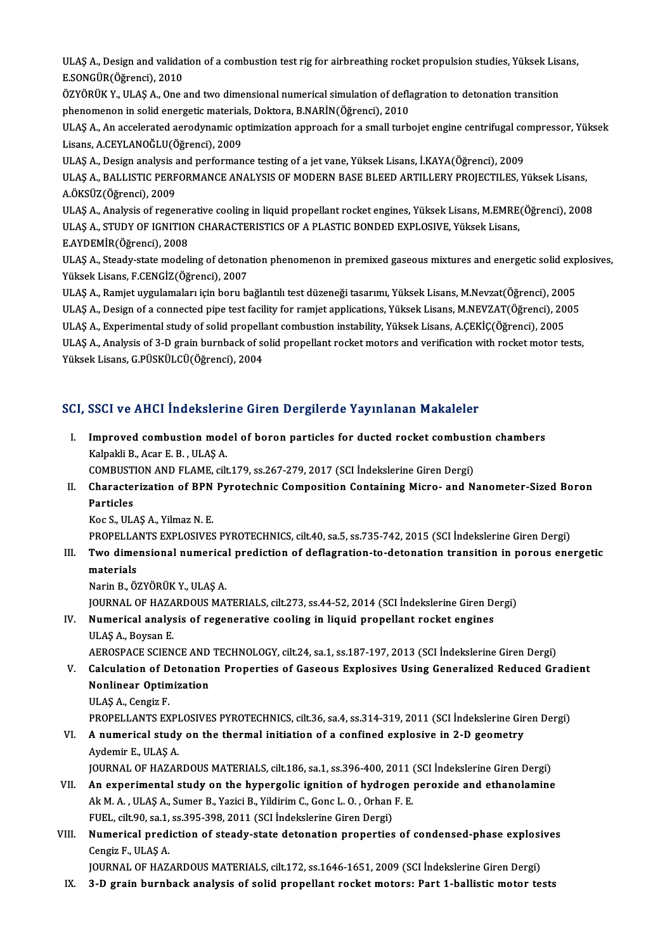ULAŞ A., Design and validation of a combustion test rig for airbreathing rocket propulsion studies, Yüksek Lisans,<br>E SONGÜR(Öğmənsi), 2010 ULAŞ A., Design and validat<br>E.SONGÜR(Öğrenci), 2010<br>ÖZVÖPÜK Y., ULAS A., Ona s ULAŞ A., Design and validation of a combustion test rig for airbreathing rocket propulsion studies, Yüksek Lisa<br>E.SONGÜR(Öğrenci), 2010<br>ÖZYÖRÜK Y., ULAŞ A., One and two dimensional numerical simulation of deflagration to d

E.SONGÜR(Öğrenci), 2010<br>ÖZYÖRÜK Y., ULAŞ A., One and two dimensional numerical simulation of defla<br>phenomenon in solid energetic materials, Doktora, B.NARİN(Öğrenci), 2010<br>ULAS A. An asselarated espedimentis entimization e ÖZYÖRÜK Y., ULAŞ A., One and two dimensional numerical simulation of deflagration to detonation transition<br>phenomenon in solid energetic materials, Doktora, B.NARİN(Öğrenci), 2010<br>ULAŞ A., An accelerated aerodynamic optimi

phenomenon in solid energetic material<br>ULAŞ A., An accelerated aerodynamic op<br>Lisans, A.CEYLANOĞLU(Öğrenci), 2009<br>ULAS A., Desirn analysis and performan ULAŞ A., An accelerated aerodynamic optimization approach for a small turbojet engine centrifugal co<br>Lisans, A.CEYLANOĞLU(Öğrenci), 2009<br>ULAŞ A., Design analysis and performance testing of a jet vane, Yüksek Lisans, İ.KAYA

ULAŞ A., Design analysis and performance testing of a jet vane, Yüksek Lisans, İ.KAYA(Öğrenci), 2009

Lisans, A.CEYLANOĞLU(Öğrenci), 2009<br>ULAŞ A., Design analysis and performance testing of a jet vane, Yüksek Lisans, İ.KAYA(Öğrenci), 2009<br>ULAŞ A., BALLISTIC PERFORMANCE ANALYSIS OF MODERN BASE BLEED ARTILLERY PROJECTILES, Y ULAŞ A., BALLISTIC PERFORMANCE ANALYSIS OF MODERN BASE BLEED ARTILLERY PROJECTILES, Yüksek Lisans,<br>A.ÖKSÜZ(Öğrenci), 2009<br>ULAŞ A., Analysis of regenerative cooling in liquid propellant rocket engines, Yüksek Lisans, M.EMRE

A.ÖKSÜZ(Öğrenci), 2009<br>ULAŞ A., Analysis of regenerative cooling in liquid propellant rocket engines, Yüksek Lisans, M.EMRE<br>ULAŞ A., STUDY OF IGNITION CHARACTERISTICS OF A PLASTIC BONDED EXPLOSIVE, Yüksek Lisans,<br>E AYDEMİB ULAŞ A., Analysis of regener<br>ULAŞ A., STUDY OF IGNITIOI<br>E.AYDEMİR(Öğrenci), 2008<br>III AS A., Steedy state modeli

ULAŞ A., STUDY OF IGNITION CHARACTERISTICS OF A PLASTIC BONDED EXPLOSIVE, Yüksek Lisans,<br>E.AYDEMİR(Öğrenci), 2008<br>ULAŞ A., Steady-state modeling of detonation phenomenon in premixed gaseous mixtures and energetic solid exp E.AYDEMİR(Öğrenci), 2008<br>ULAŞ A., Steady-state modeling of detona<br>Yüksek Lisans, F.CENGİZ(Öğrenci), 2007 ULAŞ A., Steady-state modeling of detonation phenomenon in premixed gaseous mixtures and energetic solid exp<br>Yüksek Lisans, F.CENGİZ(Öğrenci), 2007<br>ULAŞ A., Ramjet uygulamaları için boru bağlantılı test düzeneği tasarımı,

ULAŞ A., Ramjet uygulamaları için boru bağlantılı test düzeneği tasarımı, Yüksek Lisans, M.Nevzat(Öğrenci), 2005

ULAŞ A., Design of a connected pipe test facility for ramjet applications, Yüksek Lisans, M.NEVZAT(Öğrenci), 2005<br>ULAŞ A., Experimental study of solid propellant combustion instability, Yüksek Lisans, A.ÇEKİÇ(Öğrenci), 200

ULAŞ A., Design of a connected pipe test facility for ramjet applications, Yüksek Lisans, M.NEVZAT(Öğrenci), 2005<br>ULAŞ A., Experimental study of solid propellant combustion instability, Yüksek Lisans, A.ÇEKİÇ(Öğrenci), 200 ULAŞ A., Experimental study of solid propella<br>ULAŞ A., Analysis of 3-D grain burnback of so<br>Yüksek Lisans, G.PÜSKÜLCÜ(Öğrenci), 2004

# Yüksek Lisans, G.PÜSKÜLCÜ(Öğrenci), 2004<br>SCI, SSCI ve AHCI İndekslerine Giren Dergilerde Yayınlanan Makaleler

CI, SSCI ve AHCI İndekslerine Giren Dergilerde Yayınlanan Makaleler<br>I. Improved combustion model of boron particles for ducted rocket combustion chambers<br>Kalpakli B. Agar E.B. JUASA ESSERVISTENT ENGINEERS<br>Improved combustion mod<br>Kalpakli B., Acar E. B. , ULAŞ A.<br>COMBUSTION AND ELAME cilt Improved combustion model of boron particles for ducted rocket combust<br>Kalpakli B., Acar E. B. , ULAŞ A.<br>COMBUSTION AND FLAME, cilt.179, ss.267-279, 2017 (SCI İndekslerine Giren Dergi)<br>Characterization of PPN Burateshnis C

## Kalpakli B., Acar E. B. , ULAŞ A.<br>COMBUSTION AND FLAME, cilt.179, ss.267-279, 2017 (SCI İndekslerine Giren Dergi)<br>II. Characterization of BPN Pyrotechnic Composition Containing Micro- and Nanometer-Sized Boron<br>Particles COMBUSTION AND FLAME, cilt.179, ss.267-279, 2017 (SCI İndekslerine Giren Dergi)<br>Characterization of BPN Pyrotechnic Composition Containing Micro- and N<br>Particles<br>Koc S., ULAS A., Yilmaz N. E. Characterization of BPN<br>Particles<br>Koc S., ULAŞ A., Yilmaz N. E.<br>PROPELLANTS EVPLOSIVES Particles<br>Koc S., ULAŞ A., Yilmaz N. E.<br>PROPELLANTS EXPLOSIVES PYROTECHNICS, cilt.40, sa.5, ss.735-742, 2015 (SCI İndekslerine Giren Dergi)<br>Tura dimensional numerisal prodiction of deflagration ta detenstion transition in

Koc S., ULAŞ A., Yilmaz N. E.<br>PROPELLANTS EXPLOSIVES PYROTECHNICS, cilt.40, sa.5, ss.735-742, 2015 (SCI İndekslerine Giren Dergi)<br>III. Two dimensional numerical prediction of deflagration-to-detonation transition in po PROPELLA<br>Two dime<br>materials<br>Narin P. Ö' Two dimensional numerica<br>materials<br>Narin B., ÖZYÖRÜK Y., ULAŞ A.<br>JOUPNAL OE HAZAPDOUS MA. materials<br>Narin B., ÖZYÖRÜK Y., ULAŞ A.<br>JOURNAL OF HAZARDOUS MATERIALS, cilt.273, ss.44-52, 2014 (SCI İndekslerine Giren Dergi)

Narin B., ÖZYÖRÜK Y., ULAŞ A.<br>JOURNAL OF HAZARDOUS MATERIALS, cilt.273, ss.44-52, 2014 (SCI İndekslerine Giren De<br>IV. Numerical analysis of regenerative cooling in liquid propellant rocket engines<br>III AS A. Bayaan E **JOURNAL OF HAZA<br>Numerical analys<br>ULAŞ A., Boysan E.<br>AEROSBACE SCIEN** ULAŞ A., Boysan E.<br>AEROSPACE SCIENCE AND TECHNOLOGY, cilt.24, sa.1, ss.187-197, 2013 (SCI İndekslerine Giren Dergi)

- V. Calculation of Detonation Properties of Gaseous Explosives Using Generalized Reduced Gradient AEROSPACE SCIENCE AND<br>Calculation of Detonation<br>Nonlinear Optimization<br><sup>III AS A</sup> Congir E Calculation of D<br>Nonlinear Optin<br>ULAŞ A., Cengiz F.<br>PROPELLANTS EV ULAŞ A., Cengiz F.<br>PROPELLANTS EXPLOSIVES PYROTECHNICS, cilt.36, sa.4, ss.314-319, 2011 (SCI İndekslerine Giren Dergi)
	-
- ULAŞ A., Cengiz F.<br>PROPELLANTS EXPLOSIVES PYROTECHNICS, cilt.36, sa.4, ss.314-319, 2011 (SCI İndekslerine Gir<br>VI. A numerical study on the thermal initiation of a confined explosive in 2-D geometry PROPELLANTS EXPI<br>**A numerical study**<br>Aydemir E., ULAŞ A.<br>JOUPNAL OE HAZAE A numerical study on the thermal initiation of a confined explosive in 2-D geometry<br>Aydemir E., ULAŞ A.<br>JOURNAL OF HAZARDOUS MATERIALS, cilt.186, sa.1, ss.396-400, 2011 (SCI İndekslerine Giren Dergi)<br>An evnerimentel study
- Aydemir E., ULAŞ A.<br>JOURNAL OF HAZARDOUS MATERIALS, cilt.186, sa.1, ss.396-400, 2011 (SCI İndekslerine Giren Dergi)<br>VII. An experimental study on the hypergolic ignition of hydrogen peroxide and ethanolamine<br>Alt M.A., ULAS JOURNAL OF HAZARDOUS MATERIALS, cilt.186, sa.1, ss.396-400, 2011 (<br>An experimental study on the hypergolic ignition of hydrogen<br>Ak M. A. , ULAŞ A., Sumer B., Yazici B., Yildirim C., Gonc L. O. , Orhan F. E.<br>FUEL , silt 00, An experimental study on the hypergolic ignition of hydrog<br>Ak M. A. , ULAŞ A., Sumer B., Yazici B., Yildirim C., Gonc L. O. , Orhan<br>FUEL, cilt.90, sa.1, ss.395-398, 2011 (SCI İndekslerine Giren Dergi)<br>Numerisel prediction Ak M. A. , ULAŞ A., Sumer B., Yazici B., Yildirim C., Gonc L. O. , Orhan F. E.<br>FUEL, cilt.90, sa.1, ss.395-398, 2011 (SCI İndekslerine Giren Dergi)<br>VIII. Numerical prediction of steady-state detonation properties of conden
- FUEL, cilt.90, sa.1,<br>Numerical predi<br>Cengiz F., ULAŞ A.<br>JOUPNAL OF HAZ Numerical prediction of steady-state detonation properties of condensed-phase explosi<br>Cengiz F., ULAŞ A.<br>JOURNAL OF HAZARDOUS MATERIALS, cilt.172, ss.1646-1651, 2009 (SCI İndekslerine Giren Dergi)<br>2. D. grain burnhack anal

Cengiz F., ULAŞ A.<br>IOURNAL OF HAZARDOUS MATERIALS, cilt.172, ss.1646-1651, 2009 (SCI İndekslerine Giren Dergi)<br>IX. 3-D grain burnback analysis of solid propellant rocket motors: Part 1-ballistic motor tests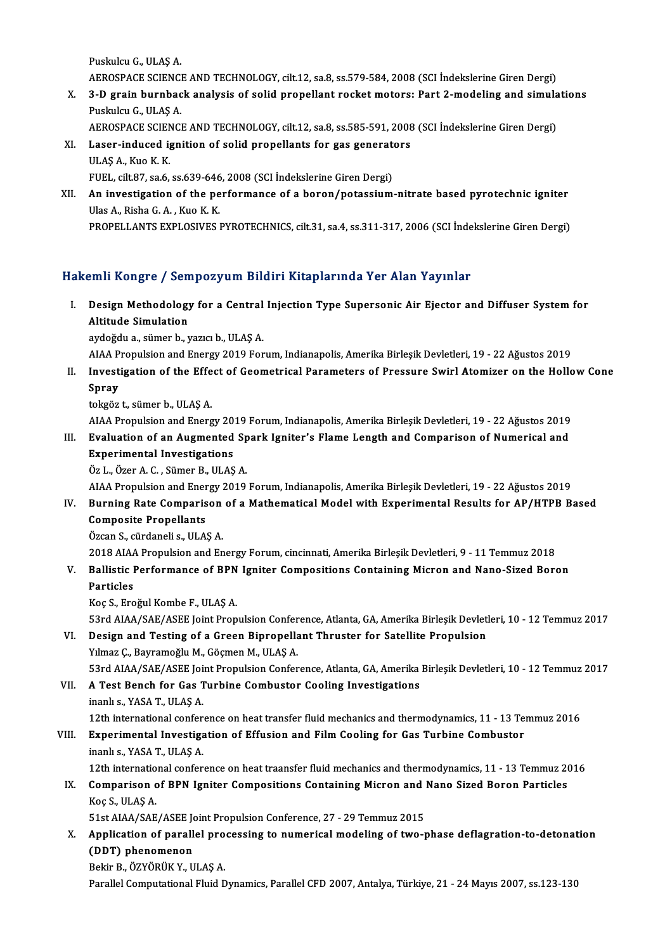Puskulcu G., ULAŞ A.

Puskulcu G., ULAŞ A.<br>AEROSPACE SCIENCE AND TECHNOLOGY, cilt.12, sa.8, ss.579-584, 2008 (SCI İndekslerine Giren Dergi)<br>2. D. grain burnbask analysis of salid pranallant raskat matarsı Part 2. madaling and simula

- X. 3-D grain burnback analysis of solid propellant rocket motors: Part 2-modeling and simulations<br>Puskulcu G. ULAS A. AEROSPACE SCIENCI<br>3-D grain burnbac<br>Puskulcu G., ULAŞ A.<br>AEROSPACE SCIENCI 3-D grain burnback analysis of solid propellant rocket motors: Part 2-modeling and simula<br>Puskulcu G., ULAŞ A.<br>AEROSPACE SCIENCE AND TECHNOLOGY, cilt.12, sa.8, ss.585-591, 2008 (SCI İndekslerine Giren Dergi)<br>Laser induced
	-
- Puskulcu G., ULAŞ A.<br>AEROSPACE SCIENCE AND TECHNOLOGY, cilt.12, sa.8, ss.585-591, 2008<br>XI. Laser-induced ignition of solid propellants for gas generators<br>III AS A. Kuo K K. AEROSPACE SCIEN<br>Laser-induced ig<br>ULAŞ A., Kuo K. K.<br>EUEL cih 97-sa 6 Laser-induced ignition of solid propellants for gas generate<br>ULAŞ A., Kuo K. K.<br>FUEL, cilt.87, sa.6, ss.639-646, 2008 (SCI İndekslerine Giren Dergi)<br>An investigation of the performance of a beren/natassium
- ULAŞ A., Kuo K. K.<br>FUEL, cilt.87, sa.6, ss.639-646, 2008 (SCI İndekslerine Giren Dergi)<br>XII. An investigation of the performance of a boron/potassium-nitrate based pyrotechnic igniter<br>Illas A. Bisha G. A. Kuo K. K. FUEL, cilt.87, sa.6, ss.639-646<br>An investigation of the pe<br>Ulas A., Risha G. A. , Kuo K. K.<br>PROPELLANTS EVPLOSIVES I Ulas A., Risha G. A., Kuo K. K.<br>PROPELLANTS EXPLOSIVES PYROTECHNICS, cilt.31, sa.4, ss.311-317, 2006 (SCI İndekslerine Giren Dergi)

## Hakemli Kongre / Sempozyum Bildiri Kitaplarında Yer Alan Yayınlar

akemli Kongre / Sempozyum Bildiri Kitaplarında Yer Alan Yayınlar<br>I. Design Methodology for a Central Injection Type Supersonic Air Ejector and Diffuser System for<br>Altitude Simulation Altitude Simulation<br>Altitude Simulation<br>Altitude Simulation Altitude Simulation<br>aydoğdu a., sümer b., yazıcı b., ULAŞ A.<br>AIAA Propulsion and Energy 2019 Forum, Indianapolis, Amerika Birleşik Devletleri, 19 - 22 Ağustos 2019<br>Investigation of the Effect of Coometrical Peremetara of P

Altitude Simulation<br>aydoğdu a., sümer b., yazıcı b., ULAŞ A.

- 
- aydoğdu a., sümer b., yazıcı b., ULAŞ A.<br>AIAA Propulsion and Energy 2019 Forum, Indianapolis, Amerika Birleşik Devletleri, 19 22 Ağustos 2019<br>II. Investigation of the Effect of Geometrical Parameters of Pressure Swir AIAA P<br>Investi<br>Spray<br>teksëz Investigation of the Effe<br>Spray<br>tokgöz t., sümer b., ULAŞ A.<br>AJAA Propulsion and Energ **Spray**<br>tokgöz t., sümer b., ULAŞ A.<br>AIAA Propulsion and Energy 2019 Forum, Indianapolis, Amerika Birleşik Devletleri, 19 - 22 Ağustos 2019

tokgöz t., sümer b., ULAŞ A.<br>AIAA Propulsion and Energy 2019 Forum, Indianapolis, Amerika Birleşik Devletleri, 19 - 22 Ağustos 2019<br>III. Evaluation of an Augmented Spark Igniter's Flame Length and Comparison of Numeric AIAA Propulsion and Energy 20<br>Evaluation of an Augmented<br>Experimental Investigations<br>ÖzL, Özer A.C., Sümer B. III AS Experimental Investigations<br>Öz L., Özer A. C. , Sümer B., ULAŞ A.<br>AIAA Propulsion and Energy 2019 Forum, Indianapolis, Amerika Birleşik Devletleri, 19 - 22 Ağustos 2019<br>Punning Pata Companison of a Mathamatical Model with

Experimental Investigations<br>Öz L., Özer A. C., Sümer B., ULAŞ A.

Öz L., Özer A. C. , Sümer B., ULAŞ A.<br>AIAA Propulsion and Energy 2019 Forum, Indianapolis, Amerika Birleşik Devletleri, 19 - 22 Ağustos 2019<br>IV. Burning Rate Comparison of a Mathematical Model with Experimental Results AIAA Propulsion and Ener<br>Burning Rate Comparis<br>Composite Propellants<br>Örgan S. gürdanelis, ULA IV. Burning Rate Comparison of a Mathematical Model with Experimental Results for AP/HTPB Based<br>Composite Propellants<br>Özcan S., cürdaneli s., ULAŞ A. Composite Propellants<br>Özcan S., cürdaneli s., ULAŞ A.<br>2018 AIAA Propulsion and Energy Forum, cincinnati, Amerika Birleşik Devletleri, 9 - 11 Temmuz 2018<br>Pollistis Berformange of PBN Janiter Compositions Containing Misron a

# Özcan S., cürdaneli s., ULAŞ A.<br>2018 AIAA Propulsion and Energy Forum, cincinnati, Amerika Birleşik Devletleri, 9 - 11 Temmuz 2018<br>V. Ballistic Performance of BPN Igniter Compositions Containing Micron and Nano-Sized B 2018 AIAA<br>Ballistic I<br>Particles<br>Kos S. Eng Ballistic Performance of BPN<br>Particles<br>Koç S., Eroğul Kombe F., ULAŞ A.<br>E<sup>2</sup>rd AJAA (SAE (ASEE Joint Prop

Particles<br>Koç S., Eroğul Kombe F., ULAŞ A.<br>53rd AIAA/SAE/ASEE Joint Propulsion Conference, Atlanta, GA, Amerika Birleşik Devletleri, 10 - 12 Temmuz 2017

Koç S., Eroğul Kombe F., ULAŞ A.<br>53rd AIAA/SAE/ASEE Joint Propulsion Conference, Atlanta, GA, Amerika Birleşik Devlet<br>VI. Design and Testing of a Green Bipropellant Thruster for Satellite Propulsion<br>Vilmaz G. Bayramoğlu M. 53rd AIAA/SAE/ASEE Joint Propulsion Confer<br>Design and Testing of a Green Bipropella<br>Yılmaz Ç., Bayramoğlu M., Göçmen M., ULAŞ A.<br>52rd AIAA/SAE/ASEE Joint Propulsion Confor

53rdAIAA/SAE/ASEEJointPropulsionConference,Atlanta,GA,AmerikaBirleşikDevletleri,10 -12Temmuz2017

Yılmaz Ç., Bayramoğlu M., Göçmen M., ULAŞ A.<br>53rd AIAA/SAE/ASEE Joint Propulsion Conference, Atlanta, GA, Amerika<br>VII. A Test Bench for Gas Turbine Combustor Cooling Investigations<br>inaplus YASA T. III AS A. 53rd AIAA/SAE/ASEE Joi<br>**A Test Bench for Gas T**<br>inanlı s., YASA T., ULAŞ A.<br>12th international confor inanlı s., YASA T., ULAŞ A.<br>12th international conference on heat transfer fluid mechanics and thermodynamics, 11 - 13 Temmuz 2016 inanlı s., YASA T., ULAŞ A.<br>12th international conference on heat transfer fluid mechanics and thermodynamics, 11 - 13 Te<br>VIII. Experimental Investigation of Effusion and Film Cooling for Gas Turbine Combustor<br>inanlı s. YA

# 12th international conferent<br>Experimental Investiga<br>inanlı s., YASA T., ULAŞ A. inanlı s., YASA T., ULAŞ A.<br>12th international conference on heat traansfer fluid mechanics and thermodynamics, 11 - 13 Temmuz 2016

# inanlı s., YASA T., ULAŞ A.<br>12th international conference on heat traansfer fluid mechanics and thermodynamics, 11 - 13 Temmuz 20<br>IX. Comparison of BPN Igniter Compositions Containing Micron and Nano Sized Boron Partic 12th internatio<br>Comparison c<br>Koç S., ULAŞ A.<br>51st AJAA (SAE Comparison of BPN Igniter Compositions Containing Micron and 1<br>Koç S., ULAŞ A.<br>51st AIAA/SAE/ASEE Joint Propulsion Conference, 27 - 29 Temmuz 2015<br>Application of parallel processing to pumerisal modeling of two t

# Koç S., ULAŞ A.<br>51st AIAA/SAE/ASEE Joint Propulsion Conference, 27 - 29 Temmuz 2015<br>X. Application of parallel processing to numerical modeling of two-phase deflagration-to-detonation<br>(DDT) phanamanan 51st AIAA/SAE/ASEE Joint Propulsion Conference, 27 - 29 Temmuz 2015<br>Application of parallel processing to numerical modeling of two-<br>(DDT) phenomenon<br>Bekir B., ÖZYÖRÜK Y., ULAŞ A. Application of parallel pro<br>(DDT) phenomenon<br>Bekir B., ÖZYÖRÜK Y., ULAŞ A.<br>Parallal Camputational Eluid P

Parallel Computational Fluid Dynamics, Parallel CFD 2007, Antalya, Türkiye, 21 - 24 Mayıs 2007, ss.123-130